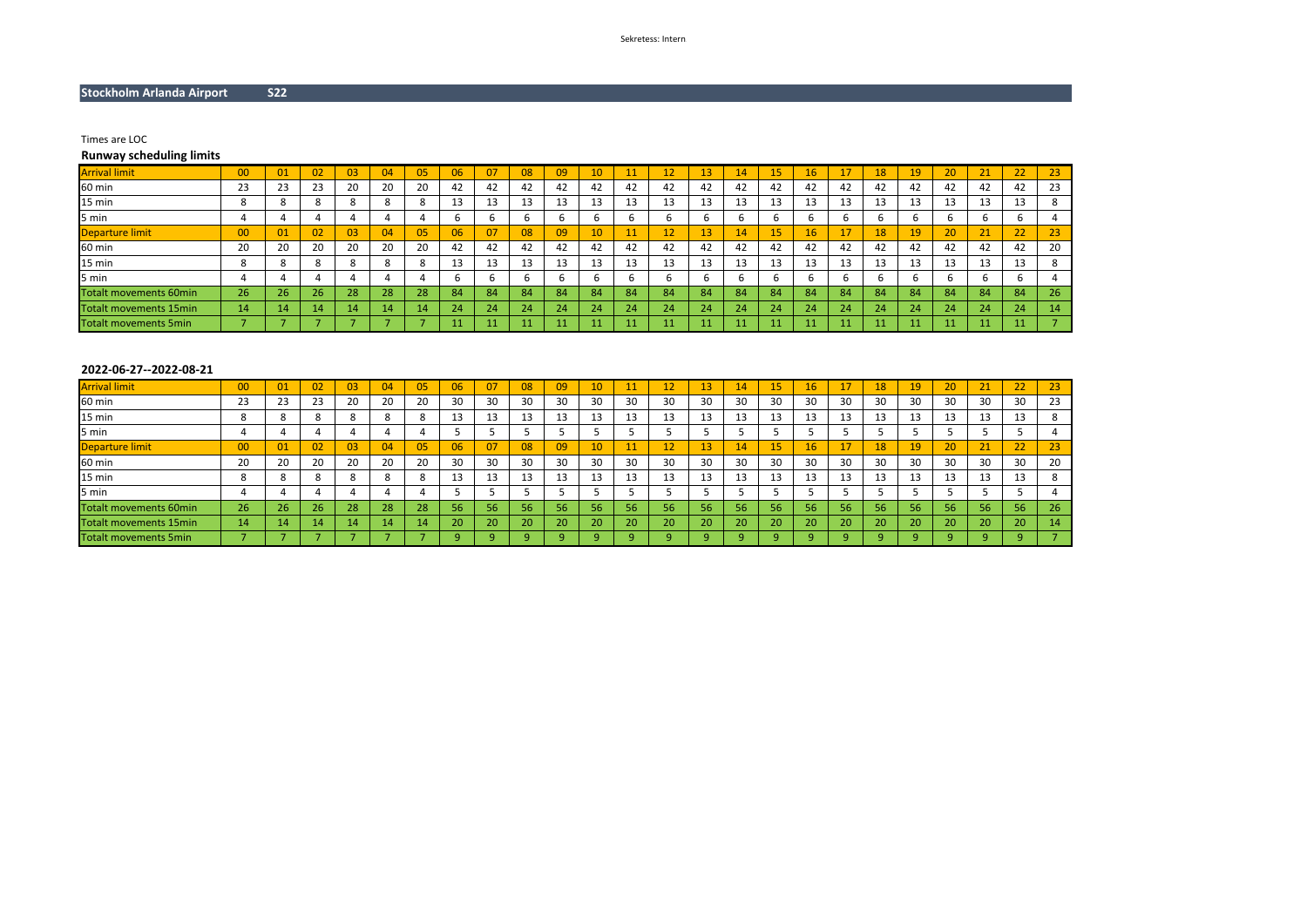# **Stockholm Arlanda Airport S22**

Times are LOC

# **Runway scheduling limits**

| <b>Arrival limit</b>          | 00            | 01          | 02              | 03           | 04           | 05 | 06 | 07 | 08 | 09 | 10 |    | ŦV | 13 | 14  | 15 | 16 |    | 18 | 19 | 20 | 21 | 22 | 23 |
|-------------------------------|---------------|-------------|-----------------|--------------|--------------|----|----|----|----|----|----|----|----|----|-----|----|----|----|----|----|----|----|----|----|
| 60 min                        | 23            | 23          | 23              | 20           | 20           | 20 | 42 | 42 | 42 | 42 | 42 | 42 | 42 | 42 | 42  | 42 | 42 | 42 | 42 | 42 | 42 | 42 | 42 | 23 |
| 15 min                        | $\Omega$<br>ŏ | 8           |                 | $\circ$<br>õ | $\circ$<br>ŏ |    | 13 | 13 |    | 13 | 13 | 15 | 13 | 13 | 13  | 13 | 13 |    | 13 | 13 | 13 | 13 | 13 |    |
| 5 min                         |               |             |                 |              |              |    | ь  |    |    | h  |    | b  |    |    |     |    |    |    |    |    |    |    |    |    |
| Departure limit               | 00            | $\sqrt{01}$ | 02              | 03           | 04           | 05 | 06 | 07 | 08 | 09 | 10 |    | 12 | 13 | 147 | 15 | 16 |    | 18 | 19 | 20 | 21 | 22 | 23 |
| 60 min                        | 20            | 20          | 20              | 20           | 20           | 20 | 42 | 42 | 42 | 42 | 42 | 42 | 42 | 42 | 42  | 42 | 42 | 42 | 42 | 42 | 42 | 42 | 42 | 20 |
| 15 min                        | ◠             | 8           |                 | $\circ$      | ◠            |    | 13 | 15 |    | 13 | 13 | 15 | 13 | 13 | 13  | 13 | 13 |    | 13 | 13 | 13 | 13 | 13 |    |
| 5 min                         |               |             |                 |              |              |    | b  |    |    |    |    | b  |    |    |     |    |    |    |    |    |    |    |    |    |
| <b>Totalt movements 60min</b> | 26            | 26          | 26 <sup>1</sup> | 28           | 28           | 28 | 84 | 84 | 84 | 84 | 84 | 84 | 84 | 84 | 84  | 84 | 84 | 84 | 84 | 84 | 84 | 84 | 84 | 26 |
| <b>Totalt movements 15min</b> | 14            | 14          | 14              | 14           | 14           |    | 24 | 24 | 24 | 24 | 24 | 24 | 24 | 24 | 24  | 24 | 24 | 24 | 24 | 24 | 24 | 24 | 24 | 14 |
| <b>Totalt movements 5min</b>  |               |             |                 |              |              |    |    |    |    | 11 | 11 |    | 11 |    | 11  | 11 | 11 |    |    | 11 |    | 11 | 11 |    |

# **2022-06-27--2022-08-21**

| <b>Arrival limit</b>          | 00 | 01 | 02 | 03 | 04 |     | 06      | 07 | 08 | 09 | 10 |    | ᆠ       | 43 | -4          | 15              | 16 |    | 18 | 19 | 20  | 21 | 22       | 23 |
|-------------------------------|----|----|----|----|----|-----|---------|----|----|----|----|----|---------|----|-------------|-----------------|----|----|----|----|-----|----|----------|----|
| 60 min                        | 23 | 23 | 23 | 20 | 20 | 20  | 30      | 30 | 30 | 30 | 30 | 30 | 30      | 30 | 30          | 30              | 30 | 30 | 30 | 30 | 30  | 30 | 30       | 23 |
| 15 min                        |    |    |    |    |    |     | 13      | 13 | -- | 13 |    | 13 | 13      | 13 |             | 13              | 13 | 13 | 13 | 13 | 13  | 13 | ᆦ        |    |
| 5 min                         |    |    |    |    |    |     |         |    |    |    |    |    |         |    |             |                 |    |    |    |    |     |    |          |    |
| <b>Departure limit</b>        | 00 | 01 | 02 | 03 | 04 | 057 | 06      | 07 | 08 | 09 | 10 | A  | 12<br>ᆠ | 13 | $4^{\circ}$ | 15              | 16 | 17 | 18 |    | 20  | 21 | ຳາ<br>24 | 23 |
| 60 min                        | 20 | 20 | 20 | 20 | 20 | 20  | 30      | 30 | 30 | 30 | 30 | 30 | 30      | 30 | 30          | 30              | 30 | 30 | 30 | 30 | 30  | 30 | 30       | 20 |
| 15 min                        |    |    |    |    |    |     | 13      | 13 | 45 | 13 |    | 13 | 13      | 13 |             | 13              | 13 | 13 | 13 | 13 | 13  | 13 | 12<br>ᅭ  |    |
| 5 min                         |    |    |    |    |    |     |         |    |    |    |    |    |         |    |             |                 |    |    |    |    |     |    |          |    |
| Totalt movements 60min        | 26 | 26 | 26 | 28 | 28 | 28  | 56      | 56 | 56 | 56 | 56 | 56 | 56      | 56 | 56          | 56              | 56 | 56 | 56 |    | 56' | 56 | 56       | 26 |
| <b>Totalt movements 15min</b> | 14 | 14 | 14 | 14 | 14 | 14  | 20      | 20 | 20 | 20 | 20 | 20 | 20      | 20 | 20          | 20 <sup>1</sup> | 20 | 20 | 20 |    | 20  | 20 | 20       | 14 |
| <b>Totalt movements 5min</b>  |    |    |    |    |    |     | $\circ$ |    |    |    |    |    |         |    |             |                 |    |    |    |    |     |    |          |    |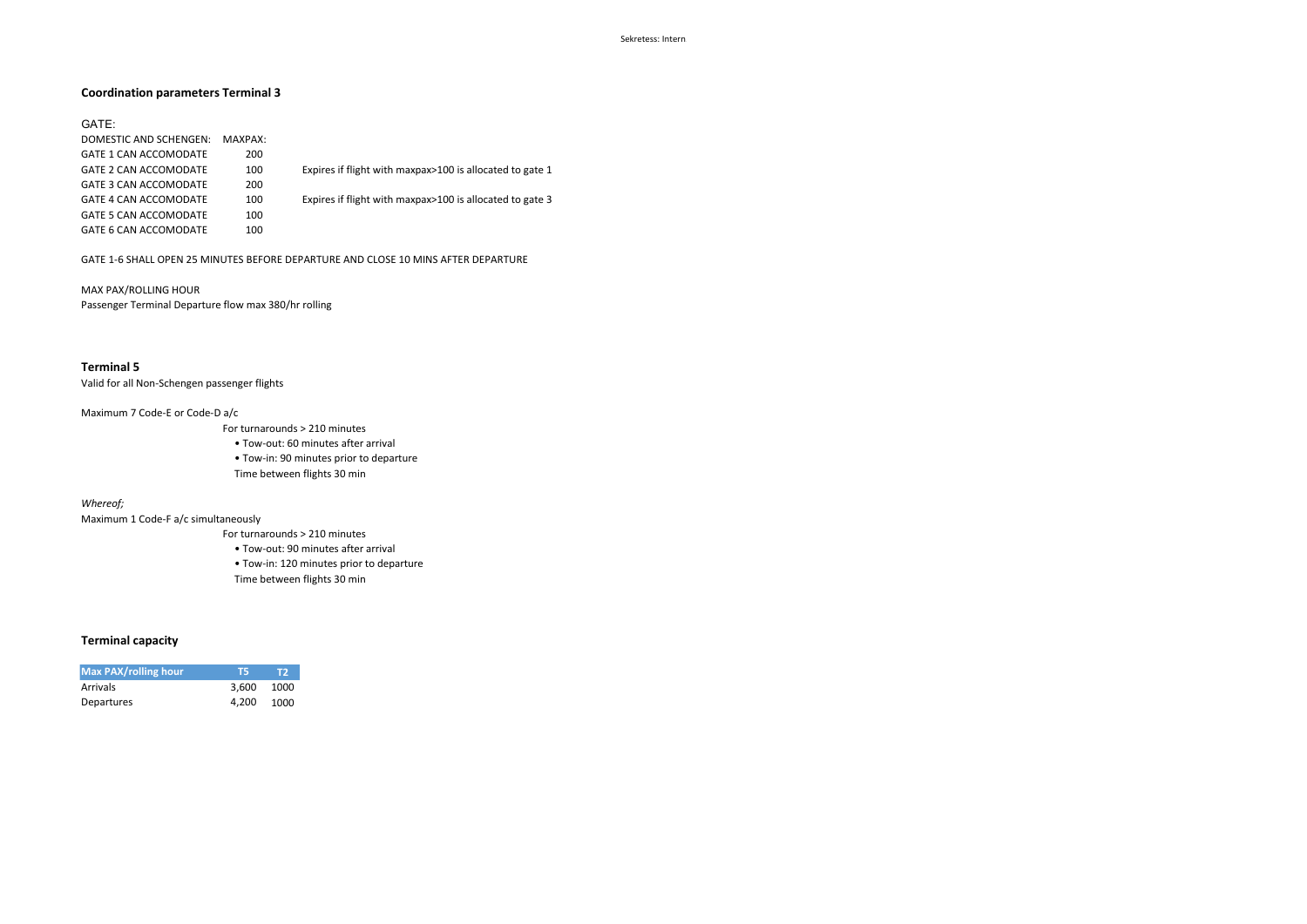## **Coordination parameters Terminal 3**

#### GATE:

| DOMESTIC AND SCHENGEN:       | MAXPAX: |                                                          |
|------------------------------|---------|----------------------------------------------------------|
| <b>GATE 1 CAN ACCOMODATE</b> | 200     |                                                          |
| <b>GATE 2 CAN ACCOMODATE</b> | 100     | Expires if flight with maxpax>100 is allocated to gate 1 |
| GATE 3 CAN ACCOMODATE        | 200     |                                                          |
| GATE 4 CAN ACCOMODATE        | 100     | Expires if flight with maxpax>100 is allocated to gate 3 |
| GATE 5 CAN ACCOMODATE        | 100     |                                                          |
| GATE 6 CAN ACCOMODATE        | 100     |                                                          |

GATE 1-6 SHALL OPEN 25 MINUTES BEFORE DEPARTURE AND CLOSE 10 MINS AFTER DEPARTURE

MAX PAX/ROLLING HOUR Passenger Terminal Departure flow max 380/hr rolling

## **Terminal 5**

Valid for all Non-Schengen passenger flights

#### Maximum 7 Code-E or Code-D a/c

- For turnarounds > 210 minutes
- Tow-out: 60 minutes after arrival
- Tow-in: 90 minutes prior to departure Time between flights 30 min

#### *Whereof;*

Maximum 1 Code-F a/c simultaneously

- For turnarounds > 210 minutes
	- Tow-out: 90 minutes after arrival
	- Tow-in: 120 minutes prior to departure
	- Time between flights 30 min

## **Terminal capacity**

| <b>Max PAX/rolling hour</b> | тч         | יש   |
|-----------------------------|------------|------|
| <b>Arrivals</b>             | 3.600 1000 |      |
| Departures                  | 4.200      | 1000 |